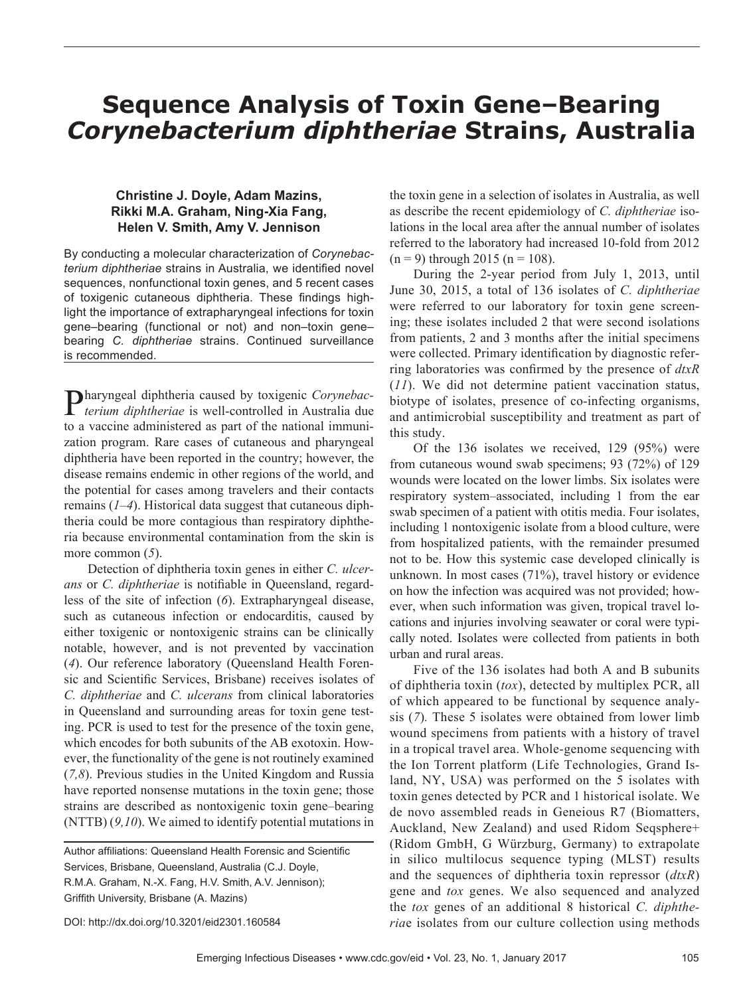# **Sequence Analysis of Toxin Gene–Bearing**  *Corynebacterium diphtheriae* **Strains, Australia**

## **Christine J. Doyle, Adam Mazins, Rikki M.A. Graham, Ning-Xia Fang, Helen V. Smith, Amy V. Jennison**

By conducting a molecular characterization of *Corynebacterium diphtheriae* strains in Australia, we identified novel sequences, nonfunctional toxin genes, and 5 recent cases of toxigenic cutaneous diphtheria. These findings highlight the importance of extrapharyngeal infections for toxin gene–bearing (functional or not) and non–toxin gene– bearing *C. diphtheriae* strains. Continued surveillance is recommended.

Pharyngeal diphtheria caused by toxigenic *Corynebac-terium diphtheriae* is well-controlled in Australia due to a vaccine administered as part of the national immunization program. Rare cases of cutaneous and pharyngeal diphtheria have been reported in the country; however, the disease remains endemic in other regions of the world, and the potential for cases among travelers and their contacts remains (*1–4*). Historical data suggest that cutaneous diphtheria could be more contagious than respiratory diphtheria because environmental contamination from the skin is more common (*5*).

Detection of diphtheria toxin genes in either *C. ulcerans* or *C. diphtheriae* is notifiable in Queensland, regardless of the site of infection (*6*). Extrapharyngeal disease, such as cutaneous infection or endocarditis, caused by either toxigenic or nontoxigenic strains can be clinically notable, however, and is not prevented by vaccination (*4*). Our reference laboratory (Queensland Health Forensic and Scientific Services, Brisbane) receives isolates of *C. diphtheriae* and *C. ulcerans* from clinical laboratories in Queensland and surrounding areas for toxin gene testing. PCR is used to test for the presence of the toxin gene, which encodes for both subunits of the AB exotoxin. However, the functionality of the gene is not routinely examined (*7,8*). Previous studies in the United Kingdom and Russia have reported nonsense mutations in the toxin gene; those strains are described as nontoxigenic toxin gene–bearing (NTTB) (*9,10*). We aimed to identify potential mutations in

DOI: http://dx.doi.org/10.3201/eid2301.160584

the toxin gene in a selection of isolates in Australia, as well as describe the recent epidemiology of *C. diphtheriae* isolations in the local area after the annual number of isolates referred to the laboratory had increased 10-fold from 2012  $(n = 9)$  through 2015  $(n = 108)$ .

During the 2-year period from July 1, 2013, until June 30, 2015, a total of 136 isolates of *C. diphtheriae* were referred to our laboratory for toxin gene screening; these isolates included 2 that were second isolations from patients, 2 and 3 months after the initial specimens were collected. Primary identification by diagnostic referring laboratories was confirmed by the presence of *dtxR* (*11*). We did not determine patient vaccination status, biotype of isolates, presence of co-infecting organisms, and antimicrobial susceptibility and treatment as part of this study.

Of the 136 isolates we received, 129 (95%) were from cutaneous wound swab specimens; 93 (72%) of 129 wounds were located on the lower limbs. Six isolates were respiratory system–associated, including 1 from the ear swab specimen of a patient with otitis media. Four isolates, including 1 nontoxigenic isolate from a blood culture, were from hospitalized patients, with the remainder presumed not to be. How this systemic case developed clinically is unknown. In most cases (71%), travel history or evidence on how the infection was acquired was not provided; however, when such information was given, tropical travel locations and injuries involving seawater or coral were typically noted. Isolates were collected from patients in both urban and rural areas.

Five of the 136 isolates had both A and B subunits of diphtheria toxin (*tox*), detected by multiplex PCR, all of which appeared to be functional by sequence analysis (*7*)*.* These 5 isolates were obtained from lower limb wound specimens from patients with a history of travel in a tropical travel area. Whole-genome sequencing with the Ion Torrent platform (Life Technologies, Grand Island, NY, USA) was performed on the 5 isolates with toxin genes detected by PCR and 1 historical isolate. We de novo assembled reads in Geneious R7 (Biomatters, Auckland, New Zealand) and used Ridom Seqsphere+ (Ridom GmbH, G Würzburg, Germany) to extrapolate in silico multilocus sequence typing (MLST) results and the sequences of diphtheria toxin repressor (*dtxR*) gene and *tox* genes. We also sequenced and analyzed the *tox* genes of an additional 8 historical *C. diphtheria*e isolates from our culture collection using methods

Author affiliations: Queensland Health Forensic and Scientific Services, Brisbane, Queensland, Australia (C.J. Doyle, R.M.A. Graham, N.-X. Fang, H.V. Smith, A.V. Jennison); Griffith University, Brisbane (A. Mazins)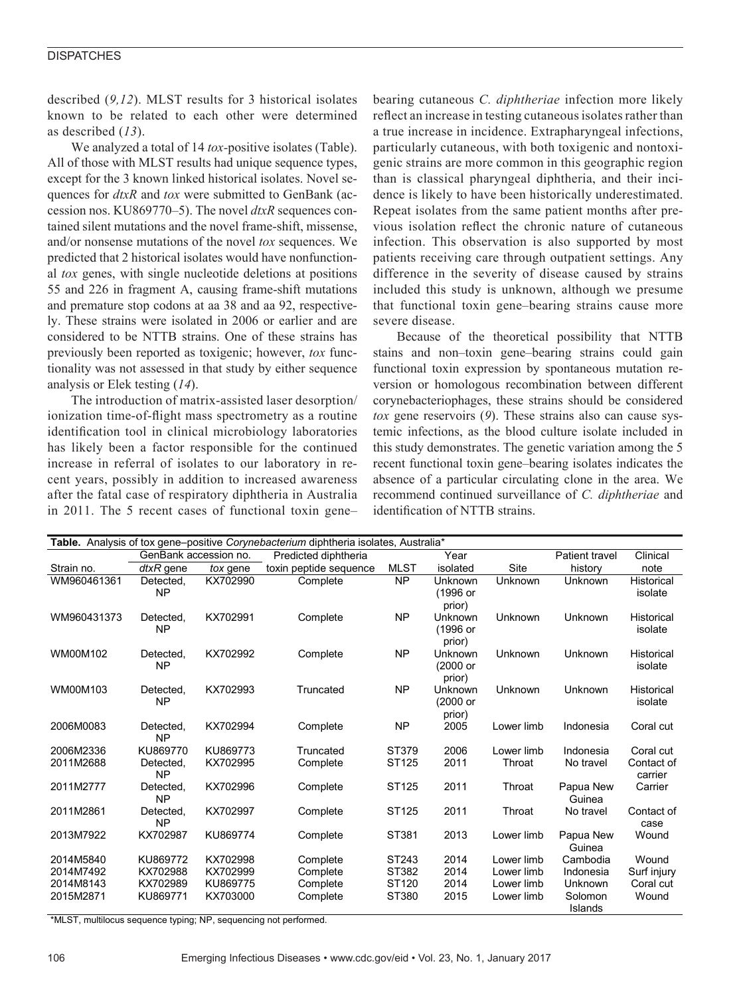## **DISPATCHES**

described (*9,12*). MLST results for 3 historical isolates known to be related to each other were determined as described (*13*).

We analyzed a total of 14 *tox-*positive isolates (Table). All of those with MLST results had unique sequence types, except for the 3 known linked historical isolates. Novel sequences for *dtxR* and *tox* were submitted to GenBank (accession nos. KU869770–5). The novel *dtxR* sequences contained silent mutations and the novel frame-shift, missense, and/or nonsense mutations of the novel *tox* sequences. We predicted that 2 historical isolates would have nonfunctional *tox* genes, with single nucleotide deletions at positions 55 and 226 in fragment A, causing frame-shift mutations and premature stop codons at aa 38 and aa 92, respectively. These strains were isolated in 2006 or earlier and are considered to be NTTB strains. One of these strains has previously been reported as toxigenic; however, *tox* functionality was not assessed in that study by either sequence analysis or Elek testing (*14*).

The introduction of matrix-assisted laser desorption/ ionization time-of-flight mass spectrometry as a routine identification tool in clinical microbiology laboratories has likely been a factor responsible for the continued increase in referral of isolates to our laboratory in recent years, possibly in addition to increased awareness after the fatal case of respiratory diphtheria in Australia in 2011. The 5 recent cases of functional toxin gene– bearing cutaneous *C. diphtheriae* infection more likely reflect an increase in testing cutaneous isolates rather than a true increase in incidence. Extrapharyngeal infections, particularly cutaneous, with both toxigenic and nontoxigenic strains are more common in this geographic region than is classical pharyngeal diphtheria, and their incidence is likely to have been historically underestimated. Repeat isolates from the same patient months after previous isolation reflect the chronic nature of cutaneous infection. This observation is also supported by most patients receiving care through outpatient settings. Any difference in the severity of disease caused by strains included this study is unknown, although we presume that functional toxin gene–bearing strains cause more severe disease.

Because of the theoretical possibility that NTTB stains and non–toxin gene–bearing strains could gain functional toxin expression by spontaneous mutation reversion or homologous recombination between different corynebacteriophages, these strains should be considered *tox* gene reservoirs (*9*). These strains also can cause systemic infections, as the blood culture isolate included in this study demonstrates. The genetic variation among the 5 recent functional toxin gene–bearing isolates indicates the absence of a particular circulating clone in the area. We recommend continued surveillance of *C. diphtheriae* and identification of NTTB strains.

| Table. Analysis of tox gene-positive Corynebacterium diphtheria isolates, Australia* |                        |                      |                        |                |                               |                          |                               |                       |
|--------------------------------------------------------------------------------------|------------------------|----------------------|------------------------|----------------|-------------------------------|--------------------------|-------------------------------|-----------------------|
|                                                                                      | GenBank accession no.  |                      | Predicted diphtheria   |                | Year                          |                          | Patient travel                | Clinical              |
| Strain no.                                                                           | dtxR gene              | tox gene             | toxin peptide sequence | <b>MLST</b>    | isolated                      | Site                     | history                       | note                  |
| WM960461361                                                                          | Detected,<br><b>NP</b> | KX702990             | Complete               | <b>NP</b>      | Unknown<br>(1996 or<br>prior) | Unknown                  | Unknown                       | Historical<br>isolate |
| WM960431373                                                                          | Detected.<br><b>NP</b> | KX702991             | Complete               | <b>NP</b>      | Unknown<br>(1996 or<br>prior) | Unknown                  | Unknown                       | Historical<br>isolate |
| WM00M102                                                                             | Detected.<br><b>NP</b> | KX702992             | Complete               | <b>NP</b>      | Unknown<br>(2000 or<br>prior) | Unknown                  | Unknown                       | Historical<br>isolate |
| WM00M103                                                                             | Detected,<br><b>NP</b> | KX702993             | Truncated              | <b>NP</b>      | Unknown<br>(2000 or<br>prior) | Unknown                  | Unknown                       | Historical<br>isolate |
| 2006M0083                                                                            | Detected,<br><b>NP</b> | KX702994             | Complete               | <b>NP</b>      | 2005                          | Lower limb               | Indonesia                     | Coral cut             |
| 2006M2336                                                                            | KU869770               | KU869773             | Truncated              | ST379          | 2006                          | Lower limb               | Indonesia                     | Coral cut             |
| 2011M2688                                                                            | Detected,<br><b>NP</b> | KX702995             | Complete               | ST125          | 2011                          | Throat                   | No travel                     | Contact of<br>carrier |
| 2011M2777                                                                            | Detected.<br><b>NP</b> | KX702996             | Complete               | ST125          | 2011                          | Throat                   | Papua New<br>Guinea           | Carrier               |
| 2011M2861                                                                            | Detected.<br><b>NP</b> | KX702997             | Complete               | ST125          | 2011                          | Throat                   | No travel                     | Contact of<br>case    |
| 2013M7922                                                                            | KX702987               | KU869774             | Complete               | ST381          | 2013                          | Lower limb               | Papua New<br>Guinea           | Wound                 |
| 2014M5840                                                                            | KU869772               | KX702998             | Complete               | ST243          | 2014                          | Lower limb               | Cambodia                      | Wound                 |
| 2014M7492                                                                            | KX702988               | KX702999             | Complete               | ST382          | 2014                          | Lower limb               | Indonesia                     | Surf injury           |
| 2014M8143<br>2015M2871                                                               | KX702989<br>KU869771   | KU869775<br>KX703000 | Complete<br>Complete   | ST120<br>ST380 | 2014<br>2015                  | Lower limb<br>Lower limb | Unknown<br>Solomon<br>Islands | Coral cut<br>Wound    |

\*MLST, multilocus sequence typing; NP, sequencing not performed.